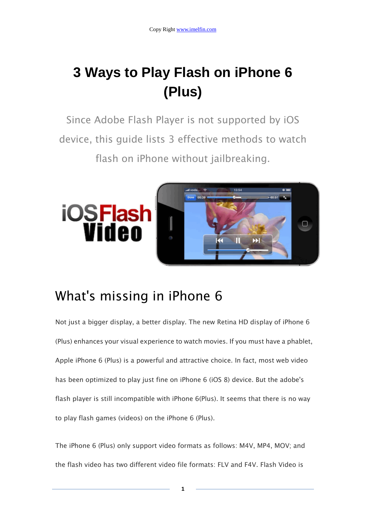## **3 Ways to Play Flash on iPhone 6 (Plus)**

Since Adobe Flash Player is not supported by iOS device, this guide lists 3 effective methods to watch flash on iPhone without jailbreaking.



### What's missing in iPhone 6

Not just a bigger display, a better display. The new Retina HD display of iPhone 6 (Plus) enhances your visual experience to watch movies. If you must have a phablet, Apple iPhone 6 (Plus) is a powerful and attractive choice. In fact, most web video has been optimized to play just fine on iPhone 6 (iOS 8) device. But the adobe's flash player is still incompatible with iPhone 6(Plus). It seems that there is no way to play flash games (videos) on the iPhone 6 (Plus).

The iPhone 6 (Plus) only support video formats as follows: M4V, MP4, MOV; and the flash video has two different video file formats: FLV and F4V. Flash Video is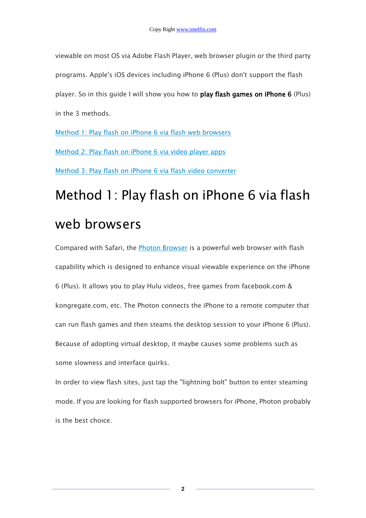viewable on most OS via Adobe Flash Player, web browser plugin or the third party programs. Apple's iOS devices including iPhone 6 (Plus) don't support the flash player. So in this guide I will show you how to play flash games on iPhone 6 (Plus) in the 3 methods.

[Method 1: Play flash on iPhone 6 via flash web browsers](http://www.imelfin.com/method1) [Method 2: Play flash on iPhone 6 via video player apps](http://www.imelfin.com/method2) [Method 3: Play flash on iPhone 6 via flash video converter](http://www.imelfin.com/method3)

# Method 1: Play flash on iPhone 6 via flash web browsers

Compared with Safari, the [Photon Browser](https://itunes.apple.com/us/app/photon-flash-player-for-iphone/id453546382?mt=8&ign-mpt=uo%3D2) is a powerful web browser with flash capability which is designed to enhance visual viewable experience on the iPhone 6 (Plus). It allows you to play Hulu videos, free games from facebook.com & kongregate.com, etc. The Photon connects the iPhone to a remote computer that can run flash games and then steams the desktop session to your iPhone 6 (Plus). Because of adopting virtual desktop, it maybe causes some problems such as some slowness and interface quirks.

In order to view flash sites, just tap the "lightning bolt" button to enter steaming mode. If you are looking for flash supported browsers for iPhone, Photon probably is the best choice.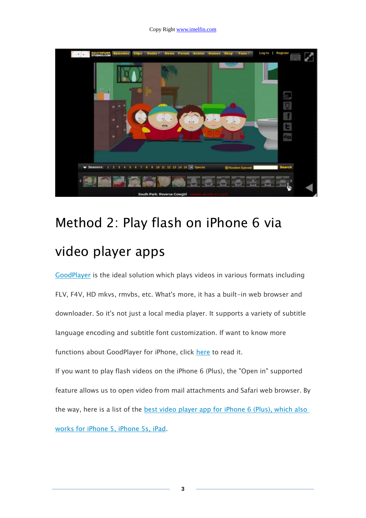#### Copy Right www.imelfin.com



## Method 2: Play flash on iPhone 6 via video player apps

[GoodPlayer](https://itunes.apple.com/app/goodplayer/id416756729?mt=8) is the ideal solution which plays videos in various formats including FLV, F4V, HD mkvs, rmvbs, etc. What's more, it has a built-in web browser and downloader. So it's not just a local media player. It supports a variety of subtitle language encoding and subtitle font customization. If want to know more functions about GoodPlayer for iPhone, click [here](http://www.hustmobile.com/goodplayer/) to read it.

If you want to play flash videos on the iPhone 6 (Plus), the "Open in" supported feature allows us to open video from mail attachments and Safari web browser. By the way, here is a list of the [best video player app for iPhone 6 \(Plus\), which also](http://www.imelfin.com/best-video-player-apps-for-iphone-5s-5.html)  [works for iPhone 5, iPhone 5s, iPad.](http://www.imelfin.com/best-video-player-apps-for-iphone-5s-5.html)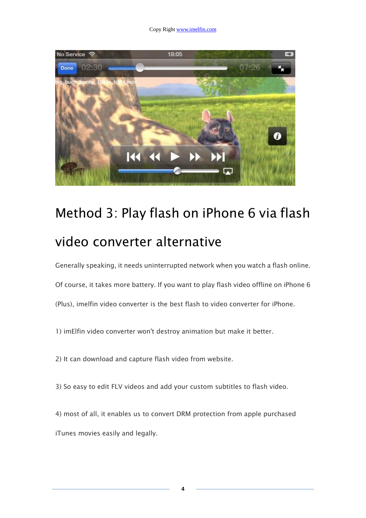Copy Right www.imelfin.com



## Method 3: Play flash on iPhone 6 via flash video converter alternative

Generally speaking, it needs uninterrupted network when you watch a flash online.

Of course, it takes more battery. If you want to play flash video offline on iPhone 6 (Plus), imelfin video converter is the best flash to video converter for iPhone.

1) imElfin video converter won't destroy animation but make it better.

2) It can download and capture flash video from website.

3) So easy to edit FLV videos and add your custom subtitles to flash video.

4) most of all, it enables us to convert DRM protection from apple purchased iTunes movies easily and legally.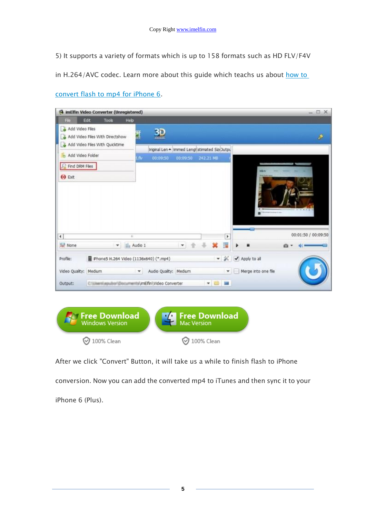5) It supports a variety of formats which is up to 158 formats such as HD FLV/F4V

in H.264/AVC codec. Learn more about this guide which teachs us about how to

| Add Video Files<br>30<br>I<br>Add Video Fles With Directshow<br>Add Video Files With Quicktime<br>Inginal Len A immed Lengt stimated SizeDutpu<br>Add Video Folder<br>Lflv.<br>00:09:50<br>00:09:50<br>242.21 MB<br><b>C</b> Find DRM Files<br>$\leftrightarrow$ Ext<br>$\leftarrow$<br>×<br>٠<br><b>None</b><br>the Audio 1<br>Ę<br>$\mathbf{v}$<br>$\overline{\phantom{a}}$<br>Phone5 H.264 Video (1136x640) (*.mp4)<br>$-8$<br>✔ Apply to all<br>Profile:<br>Merge into one file<br>Video Quality: Medium<br>Audio Quality: Medium<br>$\mathbf{v}$<br>$\mathbf{v}$ | File | Edit<br>Tools<br>Heb. |                                                                                 |  |  |  |  |  |                     |
|-----------------------------------------------------------------------------------------------------------------------------------------------------------------------------------------------------------------------------------------------------------------------------------------------------------------------------------------------------------------------------------------------------------------------------------------------------------------------------------------------------------------------------------------------------------------------|------|-----------------------|---------------------------------------------------------------------------------|--|--|--|--|--|---------------------|
|                                                                                                                                                                                                                                                                                                                                                                                                                                                                                                                                                                       |      |                       |                                                                                 |  |  |  |  |  | ۶                   |
|                                                                                                                                                                                                                                                                                                                                                                                                                                                                                                                                                                       |      |                       |                                                                                 |  |  |  |  |  |                     |
|                                                                                                                                                                                                                                                                                                                                                                                                                                                                                                                                                                       |      |                       |                                                                                 |  |  |  |  |  |                     |
|                                                                                                                                                                                                                                                                                                                                                                                                                                                                                                                                                                       |      |                       |                                                                                 |  |  |  |  |  |                     |
|                                                                                                                                                                                                                                                                                                                                                                                                                                                                                                                                                                       |      |                       |                                                                                 |  |  |  |  |  | 00:01:50 / 00:09:50 |
|                                                                                                                                                                                                                                                                                                                                                                                                                                                                                                                                                                       |      |                       |                                                                                 |  |  |  |  |  |                     |
|                                                                                                                                                                                                                                                                                                                                                                                                                                                                                                                                                                       |      |                       |                                                                                 |  |  |  |  |  |                     |
|                                                                                                                                                                                                                                                                                                                                                                                                                                                                                                                                                                       |      |                       |                                                                                 |  |  |  |  |  |                     |
| Output:                                                                                                                                                                                                                                                                                                                                                                                                                                                                                                                                                               |      |                       | $\bullet$ $\blacksquare$<br>Crisisersiaguiter/@ecuments\imElfin\Video Converter |  |  |  |  |  |                     |

[convert flash to mp4 for iPhone 6.](http://www.imelfin.com/video-converter-guide.htm)

After we click "Convert" Button, it will take us a while to finish flash to iPhone conversion. Now you can add the converted mp4 to iTunes and then sync it to your iPhone 6 (Plus).